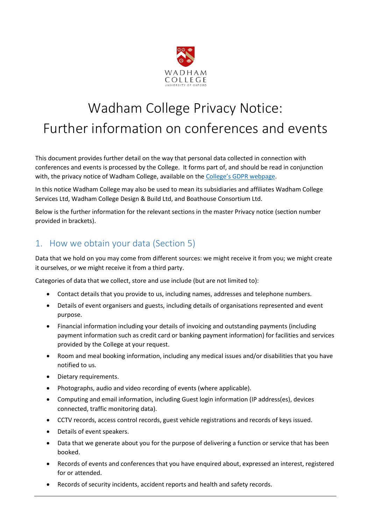

# Wadham College Privacy Notice: Further information on conferences and events

This document provides further detail on the way that personal data collected in connection with conferences and events is processed by the College. It forms part of, and should be read in conjunction with, the privacy notice of Wadham College, available on the [College's GDPR webpage](https://www.wadham.ox.ac.uk/governance/wadham-college-gdpr-framework).

In this notice Wadham College may also be used to mean its subsidiaries and affiliates Wadham College Services Ltd, Wadham College Design & Build Ltd, and Boathouse Consortium Ltd.

Below is the further information for the relevant sections in the master Privacy notice (section number provided in brackets).

### 1. How we obtain your data (Section 5)

Data that we hold on you may come from different sources: we might receive it from you; we might create it ourselves, or we might receive it from a third party.

Categories of data that we collect, store and use include (but are not limited to):

- Contact details that you provide to us, including names, addresses and telephone numbers.
- Details of event organisers and guests, including details of organisations represented and event purpose.
- Financial information including your details of invoicing and outstanding payments (including payment information such as credit card or banking payment information) for facilities and services provided by the College at your request.
- Room and meal booking information, including any medical issues and/or disabilities that you have notified to us.
- Dietary requirements.
- Photographs, audio and video recording of events (where applicable).
- Computing and email information, including Guest login information (IP address(es), devices connected, traffic monitoring data).
- CCTV records, access control records, guest vehicle registrations and records of keys issued.
- Details of event speakers.
- Data that we generate about you for the purpose of delivering a function or service that has been booked.
- Records of events and conferences that you have enquired about, expressed an interest, registered for or attended.
- Records of security incidents, accident reports and health and safety records.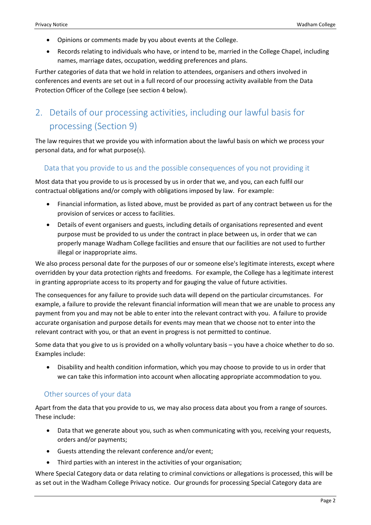- Opinions or comments made by you about events at the College.
- Records relating to individuals who have, or intend to be, married in the College Chapel, including names, marriage dates, occupation, wedding preferences and plans.

Further categories of data that we hold in relation to attendees, organisers and others involved in conferences and events are set out in a full record of our processing activity available from the Data Protection Officer of the College (see section 4 below).

# 2. Details of our processing activities, including our lawful basis for processing (Section 9)

The law requires that we provide you with information about the lawful basis on which we process your personal data, and for what purpose(s).

#### Data that you provide to us and the possible consequences of you not providing it

Most data that you provide to us is processed by us in order that we, and you, can each fulfil our contractual obligations and/or comply with obligations imposed by law. For example:

- Financial information, as listed above, must be provided as part of any contract between us for the provision of services or access to facilities.
- Details of event organisers and guests, including details of organisations represented and event purpose must be provided to us under the contract in place between us, in order that we can properly manage Wadham College facilities and ensure that our facilities are not used to further illegal or inappropriate aims.

We also process personal date for the purposes of our or someone else's legitimate interests, except where overridden by your data protection rights and freedoms. For example, the College has a legitimate interest in granting appropriate access to its property and for gauging the value of future activities.

The consequences for any failure to provide such data will depend on the particular circumstances. For example, a failure to provide the relevant financial information will mean that we are unable to process any payment from you and may not be able to enter into the relevant contract with you. A failure to provide accurate organisation and purpose details for events may mean that we choose not to enter into the relevant contract with you, or that an event in progress is not permitted to continue.

Some data that you give to us is provided on a wholly voluntary basis – you have a choice whether to do so. Examples include:

 Disability and health condition information, which you may choose to provide to us in order that we can take this information into account when allocating appropriate accommodation to you.

#### Other sources of your data

Apart from the data that you provide to us, we may also process data about you from a range of sources. These include:

- Data that we generate about you, such as when communicating with you, receiving your requests, orders and/or payments;
- Guests attending the relevant conference and/or event;
- Third parties with an interest in the activities of your organisation;

Where Special Category data or data relating to criminal convictions or allegations is processed, this will be as set out in the Wadham College Privacy notice. Our grounds for processing Special Category data are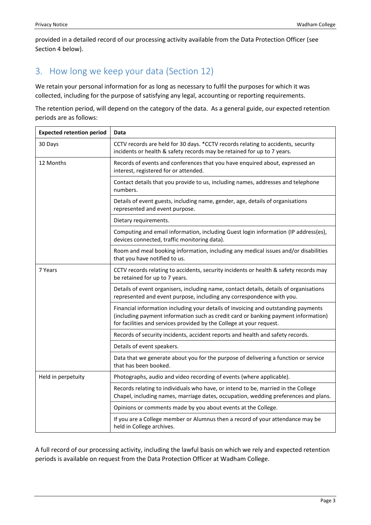provided in a detailed record of our processing activity available from the Data Protection Officer (see Section 4 below).

## 3. How long we keep your data (Section 12)

We retain your personal information for as long as necessary to fulfil the purposes for which it was collected, including for the purpose of satisfying any legal, accounting or reporting requirements.

The retention period, will depend on the category of the data. As a general guide, our expected retention periods are as follows:

| <b>Expected retention period</b> | Data                                                                                                                                                                                                                                             |
|----------------------------------|--------------------------------------------------------------------------------------------------------------------------------------------------------------------------------------------------------------------------------------------------|
| 30 Days                          | CCTV records are held for 30 days. *CCTV records relating to accidents, security<br>incidents or health & safety records may be retained for up to 7 years.                                                                                      |
| 12 Months                        | Records of events and conferences that you have enquired about, expressed an<br>interest, registered for or attended.                                                                                                                            |
|                                  | Contact details that you provide to us, including names, addresses and telephone<br>numbers.                                                                                                                                                     |
|                                  | Details of event guests, including name, gender, age, details of organisations<br>represented and event purpose.                                                                                                                                 |
|                                  | Dietary requirements.                                                                                                                                                                                                                            |
|                                  | Computing and email information, including Guest login information (IP address(es),<br>devices connected, traffic monitoring data).                                                                                                              |
|                                  | Room and meal booking information, including any medical issues and/or disabilities<br>that you have notified to us.                                                                                                                             |
| 7 Years                          | CCTV records relating to accidents, security incidents or health & safety records may<br>be retained for up to 7 years.                                                                                                                          |
|                                  | Details of event organisers, including name, contact details, details of organisations<br>represented and event purpose, including any correspondence with you.                                                                                  |
|                                  | Financial information including your details of invoicing and outstanding payments<br>(including payment information such as credit card or banking payment information)<br>for facilities and services provided by the College at your request. |
|                                  | Records of security incidents, accident reports and health and safety records.                                                                                                                                                                   |
|                                  | Details of event speakers.                                                                                                                                                                                                                       |
|                                  | Data that we generate about you for the purpose of delivering a function or service<br>that has been booked.                                                                                                                                     |
| Held in perpetuity               | Photographs, audio and video recording of events (where applicable).                                                                                                                                                                             |
|                                  | Records relating to individuals who have, or intend to be, married in the College<br>Chapel, including names, marriage dates, occupation, wedding preferences and plans.                                                                         |
|                                  | Opinions or comments made by you about events at the College.                                                                                                                                                                                    |
|                                  | If you are a College member or Alumnus then a record of your attendance may be<br>held in College archives.                                                                                                                                      |

A full record of our processing activity, including the lawful basis on which we rely and expected retention periods is available on request from the Data Protection Officer at Wadham College.